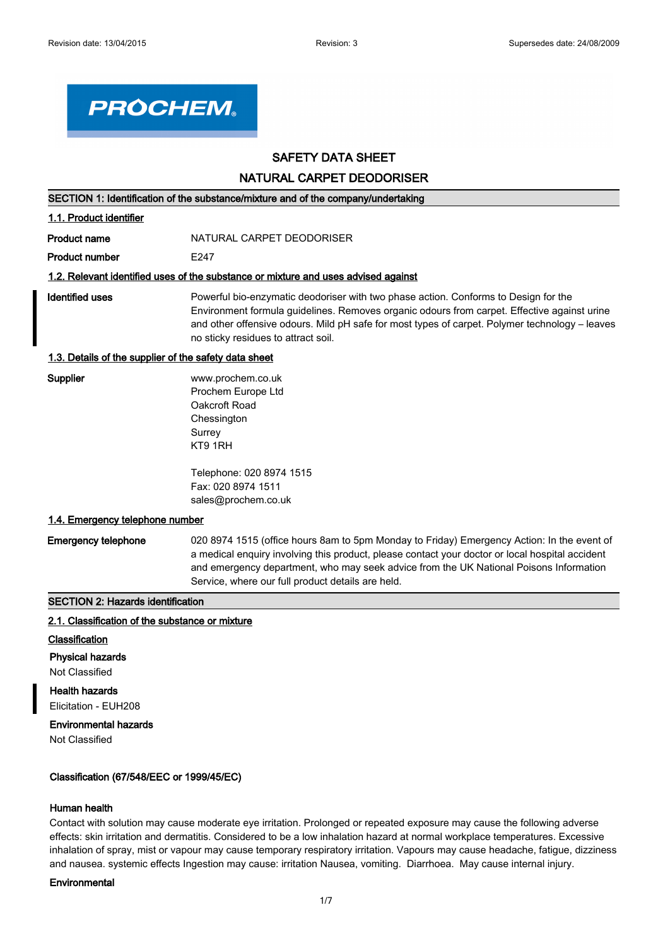

# **SAFETY DATA SHEET**

**NATURAL CARPET DEODORISER**

|  | SECTION 1: Identification of the substance/mixture and of the company/undertaking |  |
|--|-----------------------------------------------------------------------------------|--|
|--|-----------------------------------------------------------------------------------|--|

| 1.1. Product identifier                                                            |                                                                                                                                                                                                                                                                                                                             |  |
|------------------------------------------------------------------------------------|-----------------------------------------------------------------------------------------------------------------------------------------------------------------------------------------------------------------------------------------------------------------------------------------------------------------------------|--|
| <b>Product name</b>                                                                | NATURAL CARPET DEODORISER                                                                                                                                                                                                                                                                                                   |  |
| <b>Product number</b>                                                              | F <sub>247</sub>                                                                                                                                                                                                                                                                                                            |  |
| 1.2. Relevant identified uses of the substance or mixture and uses advised against |                                                                                                                                                                                                                                                                                                                             |  |
| Identified uses                                                                    | Powerful bio-enzymatic deodoriser with two phase action. Conforms to Design for the<br>Environment formula quidelines. Removes organic odours from carpet. Effective against urine<br>and other offensive odours. Mild pH safe for most types of carpet. Polymer technology – leaves<br>no sticky residues to attract soil. |  |
| 1.3. Details of the supplier of the safety data sheet                              |                                                                                                                                                                                                                                                                                                                             |  |

#### **1.3. Details of the supplier of the safety data sheet**

| Supplier |  |
|----------|--|
|----------|--|

**Supplier** www.prochem.co.uk Prochem Europe Ltd Oakcroft Road **Chessington Surrey** KT9 1RH

Telephone: 020 8974 1515 Fax: 020 8974 1511 sales@prochem.co.uk

#### **1.4. Emergency telephone number**

**Emergency telephone** 020 8974 1515 (office hours 8am to 5pm Monday to Friday) Emergency Action: In the event of a medical enquiry involving this product, please contact your doctor or local hospital accident and emergency department, who may seek advice from the UK National Poisons Information Service, where our full product details are held.

### **SECTION 2: Hazards identification**

#### **2.1. Classification of the substance or mixture**

- **Classification**
- **Physical hazards**

# Not Classified

**Health hazards** Elicitation - EUH208

### **Environmental hazards**

Not Classified

# **Classification (67/548/EEC or 1999/45/EC)**

### **Human health**

Contact with solution may cause moderate eye irritation. Prolonged or repeated exposure may cause the following adverse effects: skin irritation and dermatitis. Considered to be a low inhalation hazard at normal workplace temperatures. Excessive inhalation of spray, mist or vapour may cause temporary respiratory irritation. Vapours may cause headache, fatigue, dizziness and nausea. systemic effects Ingestion may cause: irritation Nausea, vomiting. Diarrhoea. May cause internal injury.

#### **Environmental**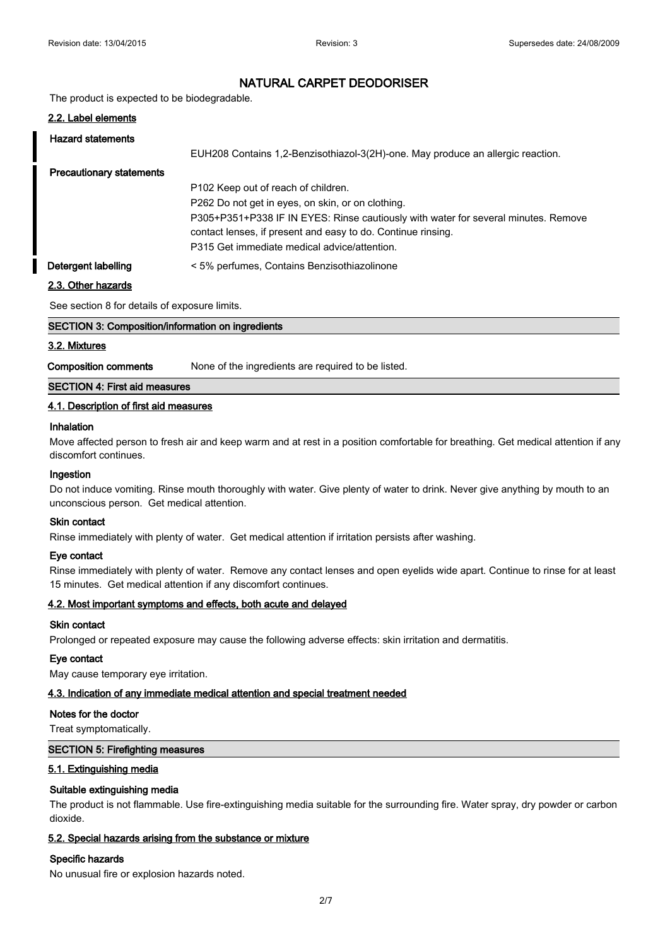The product is expected to be biodegradable.

| 2.2. Label elements             |                                                                                                                                                    |
|---------------------------------|----------------------------------------------------------------------------------------------------------------------------------------------------|
| <b>Hazard statements</b>        |                                                                                                                                                    |
|                                 | EUH208 Contains 1,2-Benzisothiazol-3(2H)-one. May produce an allergic reaction.                                                                    |
| <b>Precautionary statements</b> |                                                                                                                                                    |
|                                 | P102 Keep out of reach of children.                                                                                                                |
|                                 | P262 Do not get in eyes, on skin, or on clothing.                                                                                                  |
|                                 | P305+P351+P338 IF IN EYES: Rinse cautiously with water for several minutes. Remove<br>contact lenses, if present and easy to do. Continue rinsing. |
|                                 | P315 Get immediate medical advice/attention.                                                                                                       |
| Detergent labelling             | < 5% perfumes, Contains Benzisothiazolinone                                                                                                        |

### **2.3. Other hazards**

See section 8 for details of exposure limits.

| SECTION 3: Composition/information on ingredients |  |  |
|---------------------------------------------------|--|--|
| 3.2. Mixtures                                     |  |  |

**Composition comments** None of the ingredients are required to be listed.

### **SECTION 4: First aid measures**

### **4.1. Description of first aid measures**

### **Inhalation**

Move affected person to fresh air and keep warm and at rest in a position comfortable for breathing. Get medical attention if any discomfort continues.

### **Ingestion**

Do not induce vomiting. Rinse mouth thoroughly with water. Give plenty of water to drink. Never give anything by mouth to an unconscious person. Get medical attention.

### **Skin contact**

Rinse immediately with plenty of water. Get medical attention if irritation persists after washing.

### **Eye contact**

Rinse immediately with plenty of water. Remove any contact lenses and open eyelids wide apart. Continue to rinse for at least 15 minutes. Get medical attention if any discomfort continues.

### **4.2. Most important symptoms and effects, both acute and delayed**

### **Skin contact**

Prolonged or repeated exposure may cause the following adverse effects: skin irritation and dermatitis.

### **Eye contact**

May cause temporary eye irritation.

### **4.3. Indication of any immediate medical attention and special treatment needed**

#### **Notes for the doctor**

Treat symptomatically.

#### **SECTION 5: Firefighting measures**

#### **5.1. Extinguishing media**

### **Suitable extinguishing media**

The product is not flammable. Use fire-extinguishing media suitable for the surrounding fire. Water spray, dry powder or carbon dioxide.

### **5.2. Special hazards arising from the substance or mixture**

### **Specific hazards**

No unusual fire or explosion hazards noted.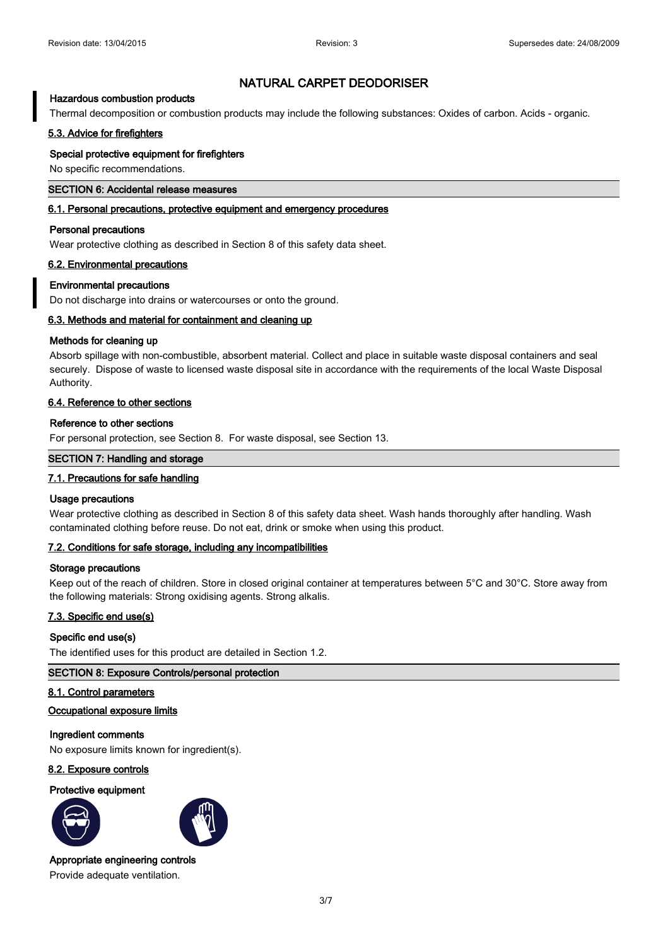### **Hazardous combustion products**

Thermal decomposition or combustion products may include the following substances: Oxides of carbon. Acids - organic.

### **5.3. Advice for firefighters**

#### **Special protective equipment for firefighters**

No specific recommendations.

#### **SECTION 6: Accidental release measures**

#### **6.1. Personal precautions, protective equipment and emergency procedures**

#### **Personal precautions**

Wear protective clothing as described in Section 8 of this safety data sheet.

#### **6.2. Environmental precautions**

#### **Environmental precautions**

Do not discharge into drains or watercourses or onto the ground.

### **6.3. Methods and material for containment and cleaning up**

#### **Methods for cleaning up**

Absorb spillage with non-combustible, absorbent material. Collect and place in suitable waste disposal containers and seal securely. Dispose of waste to licensed waste disposal site in accordance with the requirements of the local Waste Disposal Authority.

### **6.4. Reference to other sections**

#### **Reference to other sections**

For personal protection, see Section 8. For waste disposal, see Section 13.

### **SECTION 7: Handling and storage**

### **7.1. Precautions for safe handling**

#### **Usage precautions**

Wear protective clothing as described in Section 8 of this safety data sheet. Wash hands thoroughly after handling. Wash contaminated clothing before reuse. Do not eat, drink or smoke when using this product.

#### **7.2. Conditions for safe storage, including any incompatibilities**

#### **Storage precautions**

Keep out of the reach of children. Store in closed original container at temperatures between 5°C and 30°C. Store away from the following materials: Strong oxidising agents. Strong alkalis.

#### **7.3. Specific end use(s)**

### **Specific end use(s)**

The identified uses for this product are detailed in Section 1.2.

### **SECTION 8: Exposure Controls/personal protection**

#### **8.1. Control parameters**

### **Occupational exposure limits**

### **Ingredient comments**

No exposure limits known for ingredient(s).

### **8.2. Exposure controls**

#### **Protective equipment**





#### **Appropriate engineering controls**

Provide adequate ventilation.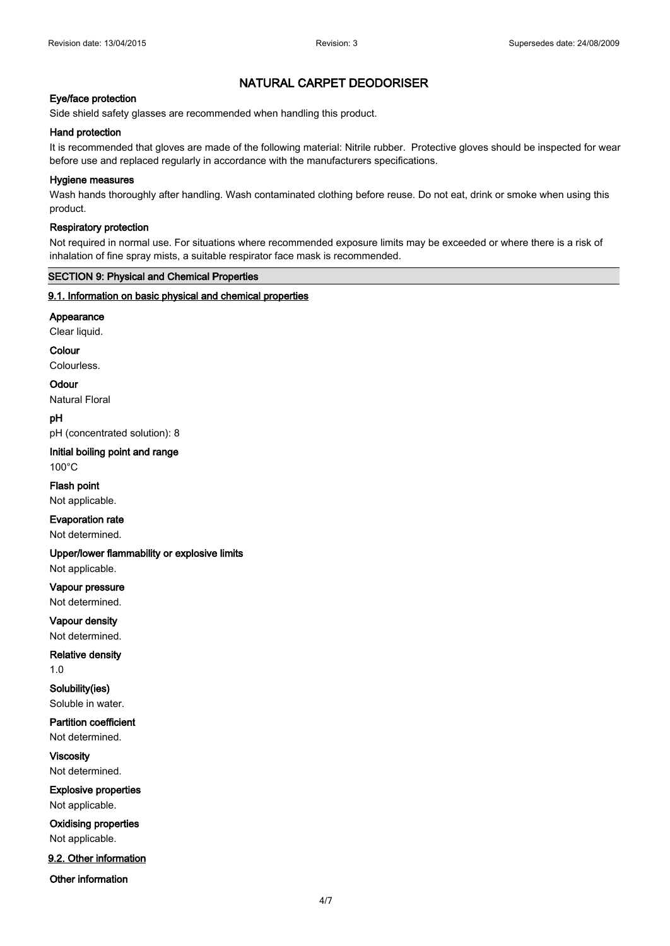### **Eye/face protection**

Side shield safety glasses are recommended when handling this product.

### **Hand protection**

It is recommended that gloves are made of the following material: Nitrile rubber. Protective gloves should be inspected for wear before use and replaced regularly in accordance with the manufacturers specifications.

### **Hygiene measures**

Wash hands thoroughly after handling. Wash contaminated clothing before reuse. Do not eat, drink or smoke when using this product.

#### **Respiratory protection**

Not required in normal use. For situations where recommended exposure limits may be exceeded or where there is a risk of inhalation of fine spray mists, a suitable respirator face mask is recommended.

### **SECTION 9: Physical and Chemical Properties**

### **9.1. Information on basic physical and chemical properties**

**Appearance**

Clear liquid.

**Colour**

Colourless.

**Odour** Natural Floral

**pH** pH (concentrated solution): 8

**Initial boiling point and range** 100°C

**Flash point** Not applicable.

**Evaporation rate**

Not determined.

**Upper/lower flammability or explosive limits** Not applicable.

**Vapour pressure** Not determined.

**Vapour density** Not determined.

**Relative density** 1.0

**Solubility(ies)** Soluble in water.

**Partition coefficient**

Not determined.

**Viscosity** Not determined.

**Explosive properties** Not applicable.

**Oxidising properties** Not applicable.

**9.2. Other information**

**Other information**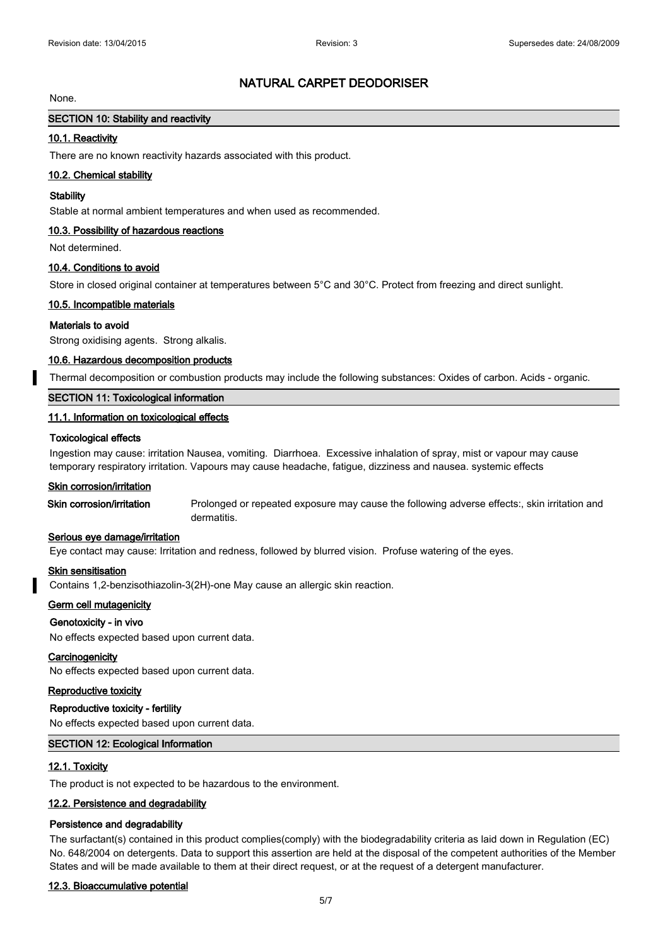#### None.

# **SECTION 10: Stability and reactivity**

### **10.1. Reactivity**

There are no known reactivity hazards associated with this product.

#### **10.2. Chemical stability**

#### **Stability**

Stable at normal ambient temperatures and when used as recommended.

### **10.3. Possibility of hazardous reactions**

Not determined.

#### **10.4. Conditions to avoid**

Store in closed original container at temperatures between 5°C and 30°C. Protect from freezing and direct sunlight.

#### **10.5. Incompatible materials**

#### **Materials to avoid**

Strong oxidising agents. Strong alkalis.

#### **10.6. Hazardous decomposition products**

Thermal decomposition or combustion products may include the following substances: Oxides of carbon. Acids - organic.

### **SECTION 11: Toxicological information**

### **11.1. Information on toxicological effects**

#### **Toxicological effects**

Ingestion may cause: irritation Nausea, vomiting. Diarrhoea. Excessive inhalation of spray, mist or vapour may cause temporary respiratory irritation. Vapours may cause headache, fatigue, dizziness and nausea. systemic effects

### **Skin corrosion/irritation**

**Skin corrosion/irritation** Prolonged or repeated exposure may cause the following adverse effects:, skin irritation and dermatitis.

#### **Serious eye damage/irritation**

Eye contact may cause: Irritation and redness, followed by blurred vision. Profuse watering of the eyes.

#### **Skin sensitisation**

Contains 1,2-benzisothiazolin-3(2H)-one May cause an allergic skin reaction.

#### **Germ cell mutagenicity**

### **Genotoxicity - in vivo**

No effects expected based upon current data.

#### **Carcinogenicity**

No effects expected based upon current data.

### **Reproductive toxicity**

#### **Reproductive toxicity - fertility**

No effects expected based upon current data.

#### **SECTION 12: Ecological Information**

#### **12.1. Toxicity**

The product is not expected to be hazardous to the environment.

#### **12.2. Persistence and degradability**

#### **Persistence and degradability**

The surfactant(s) contained in this product complies(comply) with the biodegradability criteria as laid down in Regulation (EC) No. 648/2004 on detergents. Data to support this assertion are held at the disposal of the competent authorities of the Member States and will be made available to them at their direct request, or at the request of a detergent manufacturer.

#### **12.3. Bioaccumulative potential**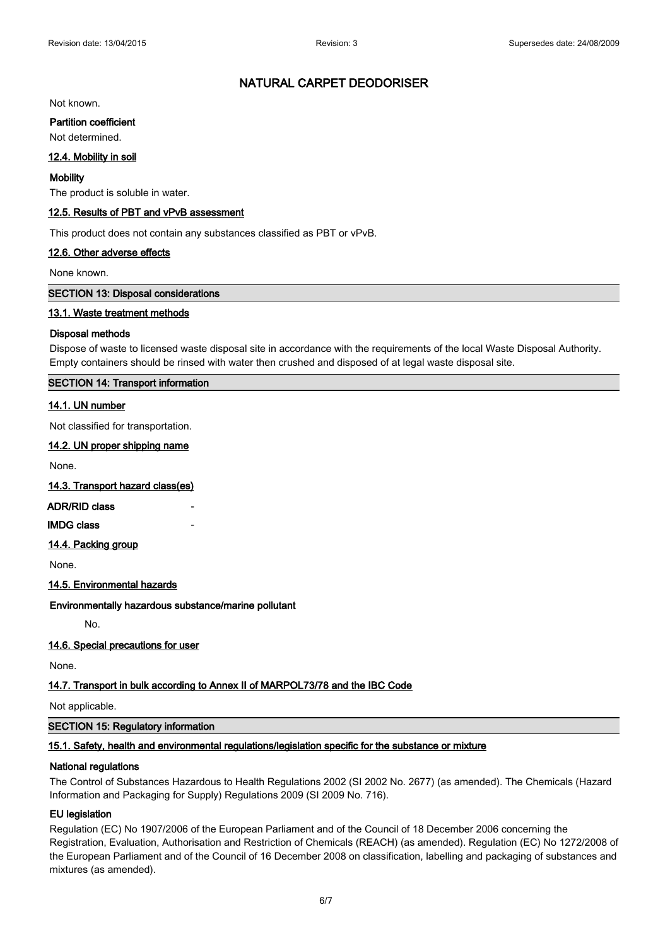Not known.

#### **Partition coefficient**

Not determined.

### **12.4. Mobility in soil**

#### **Mobility**

The product is soluble in water.

### **12.5. Results of PBT and vPvB assessment**

This product does not contain any substances classified as PBT or vPvB.

#### **12.6. Other adverse effects**

None known.

#### **SECTION 13: Disposal considerations**

### **13.1. Waste treatment methods**

#### **Disposal methods**

Dispose of waste to licensed waste disposal site in accordance with the requirements of the local Waste Disposal Authority. Empty containers should be rinsed with water then crushed and disposed of at legal waste disposal site.

### **SECTION 14: Transport information**

### **14.1. UN number**

Not classified for transportation.

### **14.2. UN proper shipping name**

None.

### **14.3. Transport hazard class(es)**

### **ADR/RID class**

**IMDG** class

### **14.4. Packing group**

None.

### **14.5. Environmental hazards**

**Environmentally hazardous substance/marine pollutant**

No.

### **14.6. Special precautions for user**

None.

### **14.7. Transport in bulk according to Annex II of MARPOL73/78 and the IBC Code**

Not applicable.

### **SECTION 15: Regulatory information**

### **15.1. Safety, health and environmental regulations/legislation specific for the substance or mixture**

### **National regulations**

The Control of Substances Hazardous to Health Regulations 2002 (SI 2002 No. 2677) (as amended). The Chemicals (Hazard Information and Packaging for Supply) Regulations 2009 (SI 2009 No. 716).

### **EU legislation**

Regulation (EC) No 1907/2006 of the European Parliament and of the Council of 18 December 2006 concerning the Registration, Evaluation, Authorisation and Restriction of Chemicals (REACH) (as amended). Regulation (EC) No 1272/2008 of the European Parliament and of the Council of 16 December 2008 on classification, labelling and packaging of substances and mixtures (as amended).